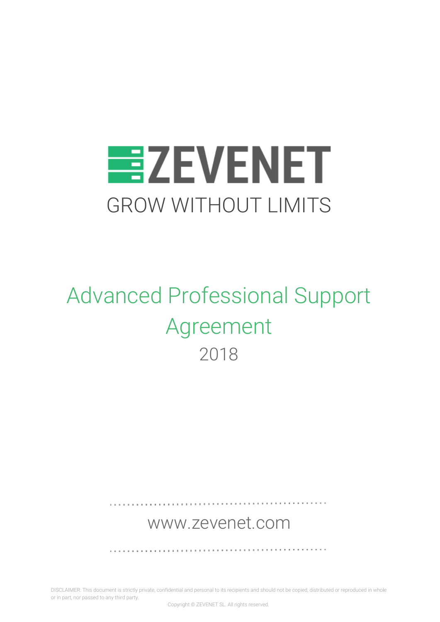

# Advanced Professional Support Agreement 2018

# [www.zevenet.com](https://www.zevenet.com/)

. . . . . . . . . . . . . . . . .

DISCLAIMER: This document is strictly private, confidential and personal to its recipients and should not be copied, distributed or reproduced in whole or in part, nor passed to any third party.

Copyright © ZEVENET SL. All rights reserved.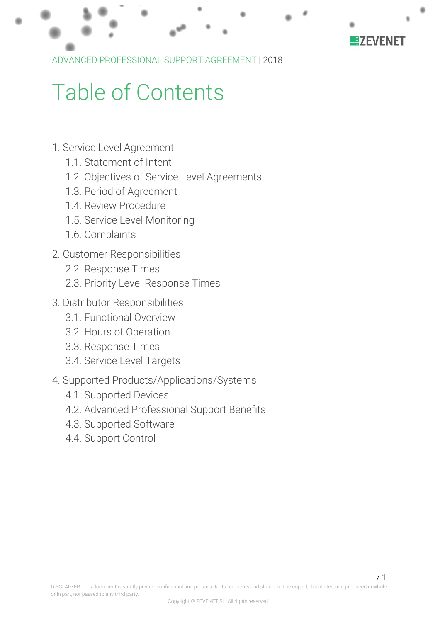

ADVANCED PROFESSIONAL SUPPORT AGREEMENT |2018

# Table of Contents

- 1. Service Level [Agreement](#page-2-0)
	- 1.1. [Statement](#page-2-1) of Intent
	- 1.2. Objectives of Service Level [Agreements](#page-2-2)
	- 1.3. Period of [Agreement](#page-3-0)
	- 1.4. Review [Procedure](#page-3-1)
	- 1.5. Service Level [Monitoring](#page-3-2)
	- 1.6. [Complaints](#page-4-0)
- 2. Customer [Responsibilities](#page-5-0)
	- 2.2. [Response](#page-5-1) Times
	- 2.3. Priority Level [Response](#page-6-0) Times
- 3. Distributor [Responsibilities](#page-7-0)
	- 3.1. [Functional](#page-7-1) Overview
	- 3.2. Hours of [Operation](#page-7-2)
	- 3.3. [Response](#page-7-3) Times
	- 3.4. Service Level [Targets](#page-8-0)
- 4. Supported [Products/Applications/Systems](#page-9-0)
	- 4.1. [Supported](#page-9-1) Devices
	- 4.2. Advanced [Professional](#page-9-2) Support Benefits
	- 4.3. [Supported](#page-11-0) Software
	- 4.4. [Support](#page-11-1) Control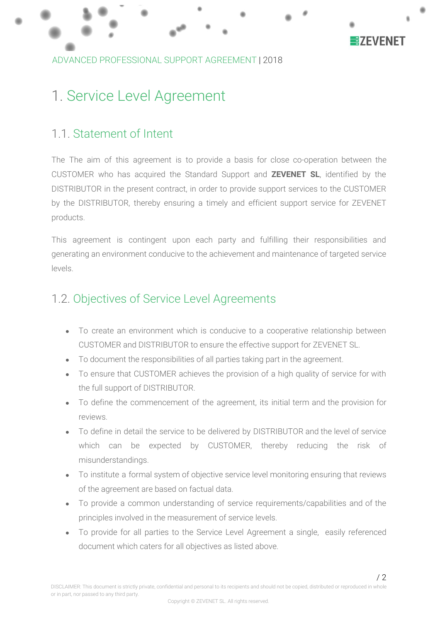

# <span id="page-2-0"></span>1. Service Level Agreement

### <span id="page-2-1"></span>1.1. Statement of Intent

The The aim of this agreement is to provide a basis for close co-operation between the CUSTOMER who has acquired the Standard Support and **ZEVENET SL**, identified by the DISTRIBUTOR in the present contract, in order to provide support services to the CUSTOMER by the DISTRIBUTOR, thereby ensuring a timely and efficient support service for ZEVENET products.

This agreement is contingent upon each party and fulfilling their responsibilities and generating an environment conducive to the achievement and maintenance of targeted service levels.

# <span id="page-2-2"></span>1.2. Objectives of Service Level Agreements

- To create an environment which is conducive to a cooperative relationship between CUSTOMER and DISTRIBUTOR to ensure the effective support for ZEVENET SL.
- To document the responsibilities of all parties taking part in the agreement.
- To ensure that CUSTOMER achieves the provision of a high quality of service for with the full support of DISTRIBUTOR.
- To define the commencement of the agreement, its initial term and the provision for reviews.
- To define in detail the service to be delivered by DISTRIBUTOR and the level of service which can be expected by CUSTOMER, thereby reducing the risk of misunderstandings.
- To institute a formal system of objective service level monitoring ensuring that reviews of the agreement are based on factual data.
- To provide a common understanding of service requirements/capabilities and of the principles involved in the measurement of service levels.
- To provide for all parties to the Service Level Agreement a single, easily referenced document which caters for all objectives as listed above.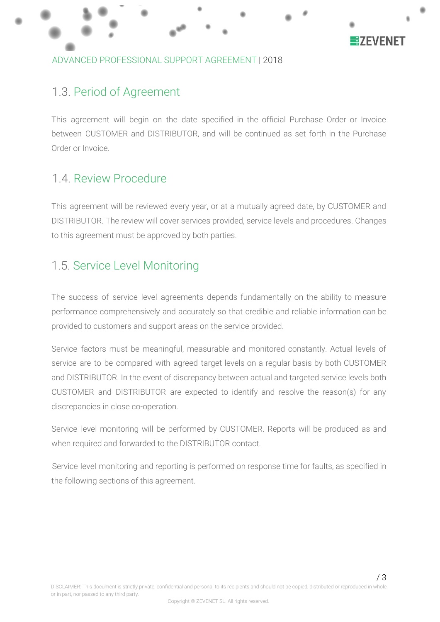

#### ADVANCED PROFESSIONAL SUPPORT AGREEMENT |2018

### <span id="page-3-0"></span>1.3. Period of Agreement

This agreement will begin on the date specified in the official Purchase Order or Invoice between CUSTOMER and DISTRIBUTOR, and will be continued as set forth in the Purchase Order or Invoice.

### <span id="page-3-1"></span>1.4. Review Procedure

This agreement will be reviewed every year, or at a mutually agreed date, by CUSTOMER and DISTRIBUTOR. The review will cover services provided, service levels and procedures. Changes to this agreement must be approved by both parties.

### <span id="page-3-2"></span>1.5. Service Level Monitoring

The success of service level agreements depends fundamentally on the ability to measure performance comprehensively and accurately so that credible and reliable information can be provided to customers and support areas on the service provided.

Service factors must be meaningful, measurable and monitored constantly. Actual levels of service are to be compared with agreed target levels on a regular basis by both CUSTOMER and DISTRIBUTOR. In the event of discrepancy between actual and targeted service levels both CUSTOMER and DISTRIBUTOR are expected to identify and resolve the reason(s) for any discrepancies in close co-operation.

Service level monitoring will be performed by CUSTOMER. Reports will be produced as and when required and forwarded to the DISTRIBUTOR contact.

Service level monitoring and reporting is performed on response time for faults, as specified in the following sections of this agreement.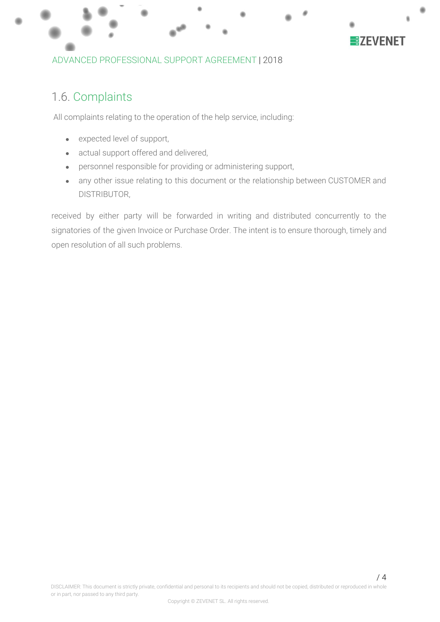

#### ADVANCED PROFESSIONAL SUPPORT AGREEMENT |2018

### <span id="page-4-0"></span>1.6. Complaints

All complaints relating to the operation of the help service, including:

- expected level of support,
- actual support offered and delivered,
- personnel responsible for providing or administering support,
- any other issue relating to this document or the relationship between CUSTOMER and DISTRIBUTOR,

received by either party will be forwarded in writing and distributed concurrently to the signatories of the given Invoice or Purchase Order. The intent is to ensure thorough, timely and open resolution of all such problems.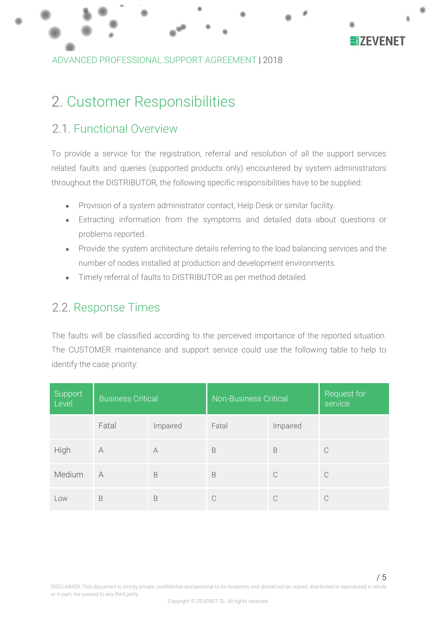

ADVANCED PROFESSIONAL SUPPORT AGREEMENT |2018

# <span id="page-5-0"></span>2. Customer Responsibilities

### 2.1. Functional Overview

To provide a service for the registration, referral and resolution of all the support services related faults and queries (supported products only) encountered by system administrators throughout the DISTRIBUTOR, the following specific responsibilities have to be supplied:

- Provision of a system administrator contact, Help Desk or similar facility.
- Extracting information from the symptoms and detailed data about questions or problems reported.
- Provide the system architecture details referring to the load balancing services and the number of nodes installed at production and development environments.
- Timely referral of faults to DISTRIBUTOR as per method detailed.

### <span id="page-5-1"></span>2.2. Response Times

The faults will be classified according to the perceived importance of the reported situation. The CUSTOMER maintenance and support service could use the following table to help to identify the case priority:

| Support<br>Level | <b>Business Critical</b> |           | <b>Non-Business Critical</b> |          | Request for<br>service |
|------------------|--------------------------|-----------|------------------------------|----------|------------------------|
|                  | Fatal                    | Impaired  | Fatal                        | Impaired |                        |
| High             | A                        | $\forall$ | B                            | B        | C                      |
| Medium           | A                        | B         | B                            | C        | C                      |
| Low              | B                        | B         | C                            | C        |                        |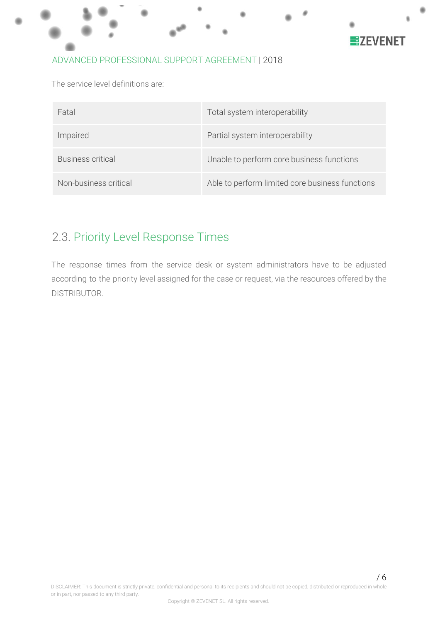

The service level definitions are:

| Fatal                    | Total system interoperability                   |
|--------------------------|-------------------------------------------------|
| Impaired                 | Partial system interoperability                 |
| <b>Business critical</b> | Unable to perform core business functions       |
| Non-business critical    | Able to perform limited core business functions |

# <span id="page-6-0"></span>2.3. Priority Level Response Times

The response times from the service desk or system administrators have to be adjusted according to the priority level assigned for the case or request, via the resources offered by the DISTRIBUTOR.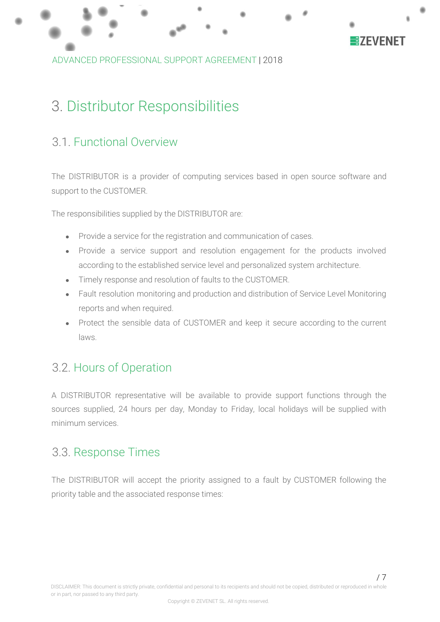

ADVANCED PROFESSIONAL SUPPORT AGREEMENT |2018

# <span id="page-7-0"></span>3. Distributor Responsibilities

## <span id="page-7-1"></span>3.1. Functional Overview

The DISTRIBUTOR is a provider of computing services based in open source software and support to the CUSTOMER.

The responsibilities supplied by the DISTRIBUTOR are:

- Provide a service for the registration and communication of cases.
- Provide a service support and resolution engagement for the products involved according to the established service level and personalized system architecture.
- Timely response and resolution of faults to the CUSTOMER.
- Fault resolution monitoring and production and distribution of Service Level Monitoring reports and when required.
- Protect the sensible data of CUSTOMER and keep it secure according to the current laws.

### <span id="page-7-2"></span>3.2. Hours of Operation

A DISTRIBUTOR representative will be available to provide support functions through the sources supplied, 24 hours per day, Monday to Friday, local holidays will be supplied with minimum services.

### <span id="page-7-3"></span>3.3. Response Times

The DISTRIBUTOR will accept the priority assigned to a fault by CUSTOMER following the priority table and the associated response times: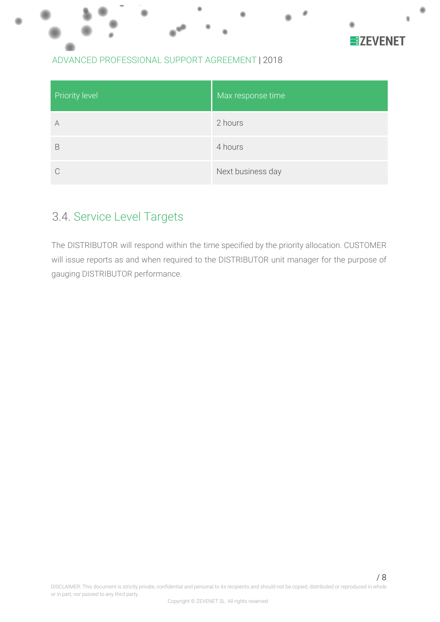

| Priority level | Max response time |
|----------------|-------------------|
| A              | 2 hours           |
| B              | 4 hours           |
| C              | Next business day |

## <span id="page-8-0"></span>3.4. Service Level Targets

The DISTRIBUTOR will respond within the time specified by the priority allocation. CUSTOMER will issue reports as and when required to the DISTRIBUTOR unit manager for the purpose of gauging DISTRIBUTOR performance.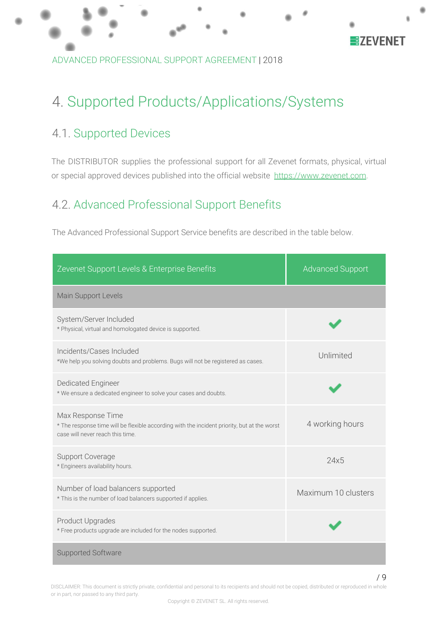

ADVANCED PROFESSIONAL SUPPORT AGREEMENT |2018

# <span id="page-9-0"></span>4. Supported Products/Applications/Systems

# <span id="page-9-1"></span>4.1. Supported Devices

The DISTRIBUTOR supplies the professional support for all Zevenet formats, physical, virtual or special approved devices published into the official website [https://www.zevenet.com](https://www.zevenet.com/).

# <span id="page-9-2"></span>4.2. Advanced Professional Support Benefits

The Advanced Professional Support Service benefits are described in the table below.

| Zevenet Support Levels & Enterprise Benefits                                                                                                         | <b>Advanced Support</b> |
|------------------------------------------------------------------------------------------------------------------------------------------------------|-------------------------|
| Main Support Levels                                                                                                                                  |                         |
| System/Server Included<br>* Physical, virtual and homologated device is supported.                                                                   |                         |
| Incidents/Cases Included<br>*We help you solving doubts and problems. Bugs will not be registered as cases.                                          | Unlimited               |
| <b>Dedicated Engineer</b><br>* We ensure a dedicated engineer to solve your cases and doubts.                                                        |                         |
| Max Response Time<br>* The response time will be flexible according with the incident priority, but at the worst<br>case will never reach this time. | 4 working hours         |
| <b>Support Coverage</b><br>* Engineers availability hours.                                                                                           | 24x5                    |
| Number of load balancers supported<br>* This is the number of load balancers supported if applies.                                                   | Maximum 10 clusters     |
| <b>Product Upgrades</b><br>* Free products upgrade are included for the nodes supported.                                                             |                         |
| <b>Supported Software</b>                                                                                                                            |                         |

DISCLAIMER: This document is strictly private, confidential and personal to its recipients and should not be copied, distributed or reproduced in whole or in part, nor passed to any third party.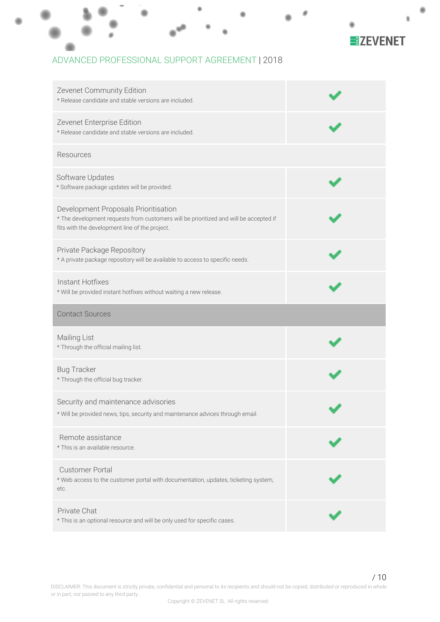

| Zevenet Community Edition<br>* Release candidate and stable versions are included.                                                                                              |  |
|---------------------------------------------------------------------------------------------------------------------------------------------------------------------------------|--|
| Zevenet Enterprise Edition<br>* Release candidate and stable versions are included.                                                                                             |  |
| Resources                                                                                                                                                                       |  |
| Software Updates<br>* Software package updates will be provided.                                                                                                                |  |
| Development Proposals Prioritisation<br>* The development requests from customers will be prioritized and will be accepted if<br>fits with the development line of the project. |  |
| Private Package Repository<br>* A private package repository will be available to access to specific needs.                                                                     |  |
| Instant Hotfixes<br>* Will be provided instant hotfixes without waiting a new release.                                                                                          |  |
|                                                                                                                                                                                 |  |
| <b>Contact Sources</b>                                                                                                                                                          |  |
| Mailing List<br>* Through the official mailing list.                                                                                                                            |  |
| <b>Bug Tracker</b><br>* Through the official bug tracker.                                                                                                                       |  |
| Security and maintenance advisories<br>* Will be provided news, tips, security and maintenance advices through email.                                                           |  |
| Remote assistance<br>* This is an available resource.                                                                                                                           |  |
| <b>Customer Portal</b><br>* Web access to the customer portal with documentation, updates, ticketing system,<br>etc.                                                            |  |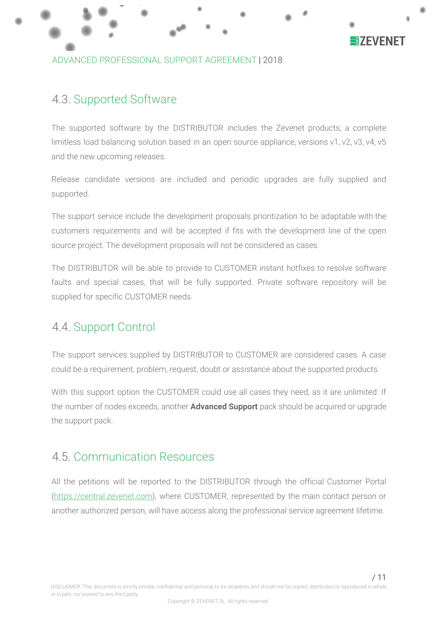

#### ADVANCED PROFESSIONAL SUPPORT AGREEMENT |2018

### <span id="page-11-0"></span>4.3. Supported Software

The supported software by the DISTRIBUTOR includes the Zevenet products, a complete limitless load balancing solution based in an open source appliance, versions v1, v2, v3, v4, v5 and the new upcoming releases.

Release candidate versions are included and periodic upgrades are fully supplied and supported.

The support service include the development proposals prioritization to be adaptable with the customers requirements and will be accepted if fits with the development line of the open source project. The development proposals will not be considered as cases.

The DISTRIBUTOR will be able to provide to CUSTOMER instant hotfixes to resolve software faults and special cases, that will be fully supported. Private software repository will be supplied for specific CUSTOMER needs.

## <span id="page-11-1"></span>4.4. Support Control

The support services supplied by DISTRIBUTOR to CUSTOMER are considered cases. A case could be a requirement, problem, request, doubt or assistance about the supported products.

With this support option the CUSTOMER could use all cases they need, as it are unlimited. If the number of nodes exceeds, another **Advanced Support** pack should be acquired or upgrade the support pack.

### 4.5. Communication Resources

All the petitions will be reported to the DISTRIBUTOR through the official Customer Portal ([https://](https://zvnadm.zevenet.com/)[central.zevenet.com](http://central.zevenet.com/)), where CUSTOMER, represented by the main contact person or another authorized person, will have access along the professional service agreement lifetime.